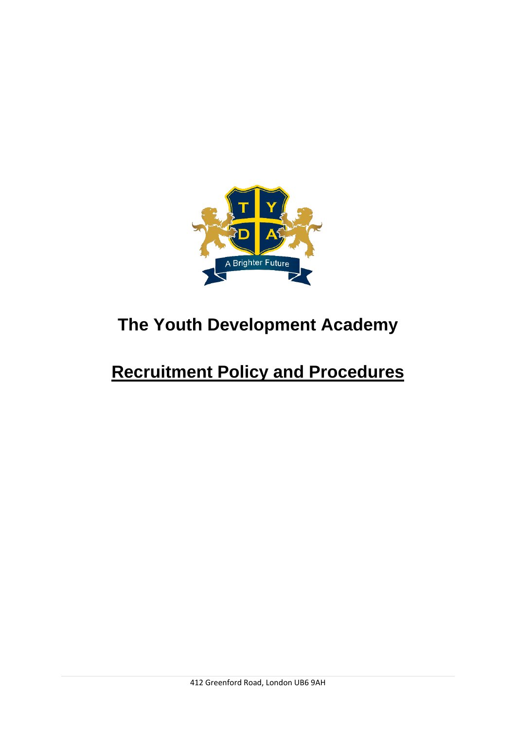

# **The Youth Development Academy**

# **Recruitment Policy and Procedures**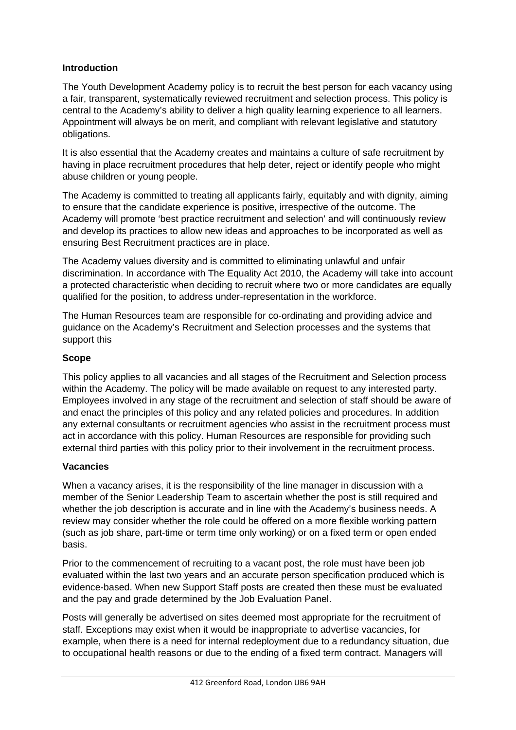### **Introduction**

The Youth Development Academy policy is to recruit the best person for each vacancy using a fair, transparent, systematically reviewed recruitment and selection process. This policy is central to the Academy's ability to deliver a high quality learning experience to all learners. Appointment will always be on merit, and compliant with relevant legislative and statutory obligations.

It is also essential that the Academy creates and maintains a culture of safe recruitment by having in place recruitment procedures that help deter, reject or identify people who might abuse children or young people.

The Academy is committed to treating all applicants fairly, equitably and with dignity, aiming to ensure that the candidate experience is positive, irrespective of the outcome. The Academy will promote 'best practice recruitment and selection' and will continuously review and develop its practices to allow new ideas and approaches to be incorporated as well as ensuring Best Recruitment practices are in place.

The Academy values diversity and is committed to eliminating unlawful and unfair discrimination. In accordance with The Equality Act 2010, the Academy will take into account a protected characteristic when deciding to recruit where two or more candidates are equally qualified for the position, to address under-representation in the workforce.

The Human Resources team are responsible for co-ordinating and providing advice and guidance on the Academy's Recruitment and Selection processes and the systems that support this

#### **Scope**

This policy applies to all vacancies and all stages of the Recruitment and Selection process within the Academy. The policy will be made available on request to any interested party. Employees involved in any stage of the recruitment and selection of staff should be aware of and enact the principles of this policy and any related policies and procedures. In addition any external consultants or recruitment agencies who assist in the recruitment process must act in accordance with this policy. Human Resources are responsible for providing such external third parties with this policy prior to their involvement in the recruitment process.

#### **Vacancies**

When a vacancy arises, it is the responsibility of the line manager in discussion with a member of the Senior Leadership Team to ascertain whether the post is still required and whether the job description is accurate and in line with the Academy's business needs. A review may consider whether the role could be offered on a more flexible working pattern (such as job share, part-time or term time only working) or on a fixed term or open ended basis.

Prior to the commencement of recruiting to a vacant post, the role must have been job evaluated within the last two years and an accurate person specification produced which is evidence-based. When new Support Staff posts are created then these must be evaluated and the pay and grade determined by the Job Evaluation Panel.

Posts will generally be advertised on sites deemed most appropriate for the recruitment of staff. Exceptions may exist when it would be inappropriate to advertise vacancies, for example, when there is a need for internal redeployment due to a redundancy situation, due to occupational health reasons or due to the ending of a fixed term contract. Managers will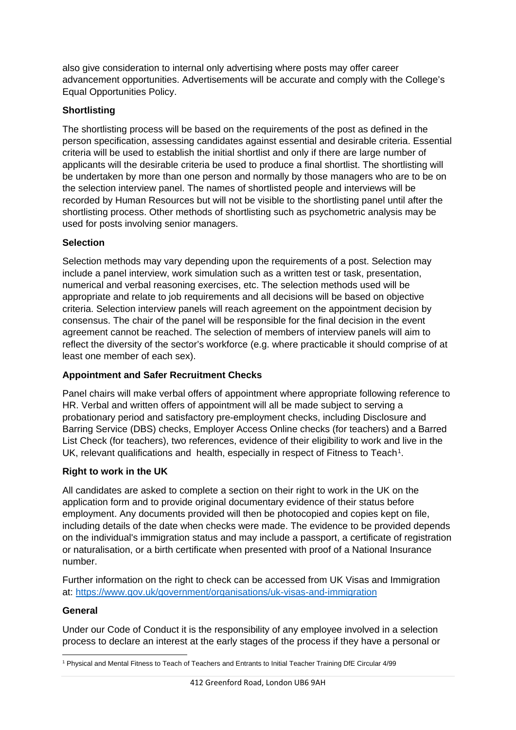also give consideration to internal only advertising where posts may offer career advancement opportunities. Advertisements will be accurate and comply with the College's Equal Opportunities Policy.

## **Shortlisting**

The shortlisting process will be based on the requirements of the post as defined in the person specification, assessing candidates against essential and desirable criteria. Essential criteria will be used to establish the initial shortlist and only if there are large number of applicants will the desirable criteria be used to produce a final shortlist. The shortlisting will be undertaken by more than one person and normally by those managers who are to be on the selection interview panel. The names of shortlisted people and interviews will be recorded by Human Resources but will not be visible to the shortlisting panel until after the shortlisting process. Other methods of shortlisting such as psychometric analysis may be used for posts involving senior managers.

## **Selection**

Selection methods may vary depending upon the requirements of a post. Selection may include a panel interview, work simulation such as a written test or task, presentation, numerical and verbal reasoning exercises, etc. The selection methods used will be appropriate and relate to job requirements and all decisions will be based on objective criteria. Selection interview panels will reach agreement on the appointment decision by consensus. The chair of the panel will be responsible for the final decision in the event agreement cannot be reached. The selection of members of interview panels will aim to reflect the diversity of the sector's workforce (e.g. where practicable it should comprise of at least one member of each sex).

## **Appointment and Safer Recruitment Checks**

Panel chairs will make verbal offers of appointment where appropriate following reference to HR. Verbal and written offers of appointment will all be made subject to serving a probationary period and satisfactory pre-employment checks, including Disclosure and Barring Service (DBS) checks, Employer Access Online checks (for teachers) and a Barred List Check (for teachers), two references, evidence of their eligibility to work and live in the UK, relevant qualifications and health, especially in respect of Fitness to Teach<sup>1</sup>.

## **Right to work in the UK**

All candidates are asked to complete a section on their right to work in the UK on the application form and to provide original documentary evidence of their status before employment. Any documents provided will then be photocopied and copies kept on file, including details of the date when checks were made. The evidence to be provided depends on the individual's immigration status and may include a passport, a certificate of registration or naturalisation, or a birth certificate when presented with proof of a National Insurance number.

Further information on the right to check can be accessed from UK Visas and Immigration at:<https://www.gov.uk/government/organisations/uk-visas-and-immigration>

#### **General**

Under our Code of Conduct it is the responsibility of any employee involved in a selection process to declare an interest at the early stages of the process if they have a personal or

<span id="page-2-0"></span> $\overline{a}$ <sup>1</sup> Physical and Mental Fitness to Teach of Teachers and Entrants to Initial Teacher Training DfE Circular 4/99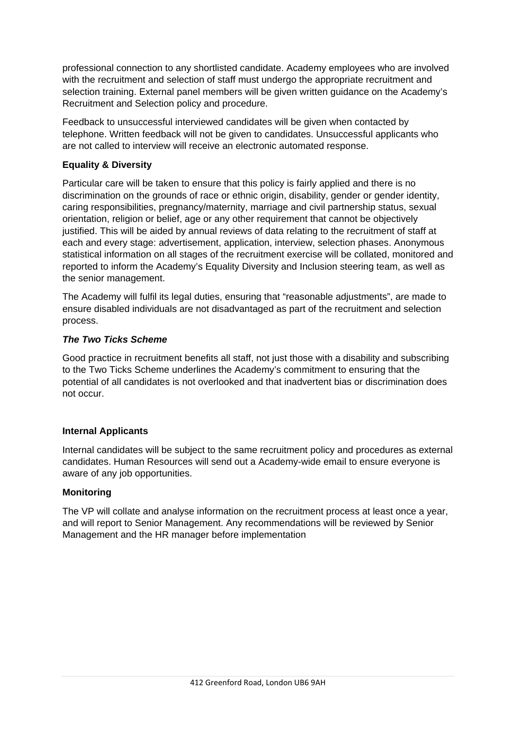professional connection to any shortlisted candidate. Academy employees who are involved with the recruitment and selection of staff must undergo the appropriate recruitment and selection training. External panel members will be given written guidance on the Academy's Recruitment and Selection policy and procedure.

Feedback to unsuccessful interviewed candidates will be given when contacted by telephone. Written feedback will not be given to candidates. Unsuccessful applicants who are not called to interview will receive an electronic automated response.

### **Equality & Diversity**

Particular care will be taken to ensure that this policy is fairly applied and there is no discrimination on the grounds of race or ethnic origin, disability, gender or gender identity, caring responsibilities, pregnancy/maternity, marriage and civil partnership status, sexual orientation, religion or belief, age or any other requirement that cannot be objectively justified. This will be aided by annual reviews of data relating to the recruitment of staff at each and every stage: advertisement, application, interview, selection phases. Anonymous statistical information on all stages of the recruitment exercise will be collated, monitored and reported to inform the Academy's Equality Diversity and Inclusion steering team, as well as the senior management.

The Academy will fulfil its legal duties, ensuring that "reasonable adjustments", are made to ensure disabled individuals are not disadvantaged as part of the recruitment and selection process.

#### *The Two Ticks Scheme*

Good practice in recruitment benefits all staff, not just those with a disability and subscribing to the Two Ticks Scheme underlines the Academy's commitment to ensuring that the potential of all candidates is not overlooked and that inadvertent bias or discrimination does not occur.

#### **Internal Applicants**

Internal candidates will be subject to the same recruitment policy and procedures as external candidates. Human Resources will send out a Academy-wide email to ensure everyone is aware of any job opportunities.

#### **Monitoring**

The VP will collate and analyse information on the recruitment process at least once a year, and will report to Senior Management. Any recommendations will be reviewed by Senior Management and the HR manager before implementation